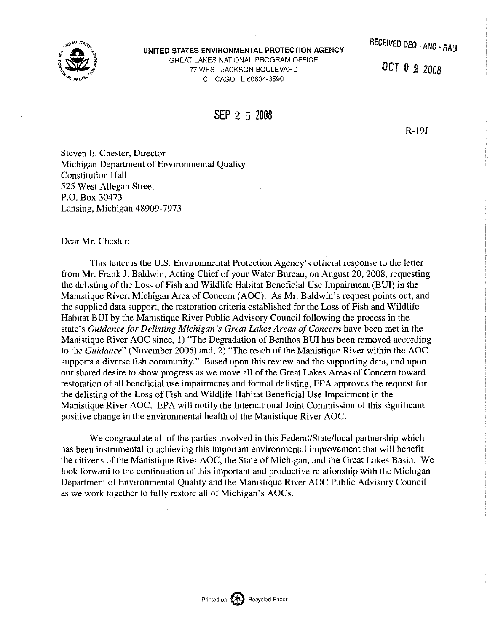

UNITED STATES ENVIRONMENTAL PROTECTION AGENCY GREAT LAKES NATIONAL PROGRAM OFFICE 77 WEST JACKSON BOULEVARD CHICAGO, IL 60604-3590

OCT 0 *2* 2008

## SEP 2 5 <sup>2006</sup>

R-19J

Steven E. Chester, Director Michigan Department of Environmental Quality Constitution Hall 525 West Allegan Street P.O. Box 30473 Lansing, Michigan 48909-7973

Dear Mr. Chester:

This letter is the U.S. Environmental Protection Agency's official response to the letter from Mr. Frank J. Baldwin, Acting Chief of your Water Bureau, on August 20, 2008, requesting the delisting of the Loss of Fish and Wildlife Habitat Beneficial Use Impairment (BUI) in the Manistique River, Michigan Area of Concern (AOC). As Mr. Baldwin's request points out, and the supplied data support, the restoration criteria established for the Loss of Fish and Wildlife Habitat BUI by the Manistique River Public Advisory Council following the process in the state's *Guidance for Delisting Michigan's Great Lakes Areas of Concern* have been met in the Manistique River AOC since, 1) "The Degradation of Benthos BUI has been removed according to the *Guidance"* (November 2006) and, 2) "The reach of the Manistique River within the AOC supports a diverse fish community." Based upon this review and the supporting data, and upon our shared desire to show progress as we move all of the Great Lakes Areas of Concern toward restoration of all beneficial use impairments and formal delisting, EPA approves the request for the delisting of the Loss ofFish and Wildlife Habitat Beneficial Use Impairment in the Manistique River AOC. EPA will notify the International Joint Commission of this significant positive change in the environmental health of the Manistique River AOC.

We congratulate all of the parties involved in this Federal/State/local partnership which has been instrumental in achieving this important environmental improvement that will benefit the citizens of the Manistique River AOC, the State of Michigan, and the Great Lakes Basin. We look forward to the continuation of this important and productive relationship with the Michigan Department of Environmental Quality and the Manistique River AOC Public Advisory Council as we work together to fully restore all of Michigan's AOCs.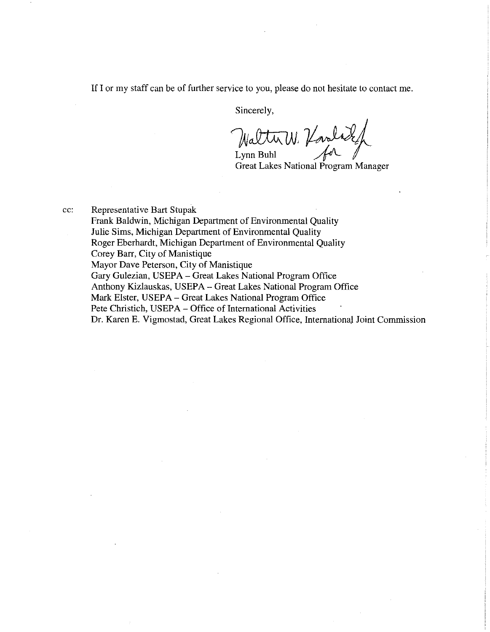If I or my staff can be of further service to you, please do not hesitate to contact me.

Sincerely,

Walter W. Varal

Great Lakes National Program Manager

cc: Representative Bart Stupak

Frank Baldwin, Michigan Department of Environmental Quality Julie Sims, Michigan Department of Environmental Quality Roger Eberhardt, Michigan Department of Environmental Quality Corey Barr, City of Manistique Mayor Dave Peterson, City of Manistique Gary Gulezian, USEPA- Great Lakes National Program Office Anthony Kizlauskas, USEPA- Great Lakes National Program Office Mark Elster, USEPA- Great Lakes National Program Office Pete Christich, USEPA- Office of International Activities Dr. Karen E. Vigmostad, Great Lakes Regional Office, International Joint Commission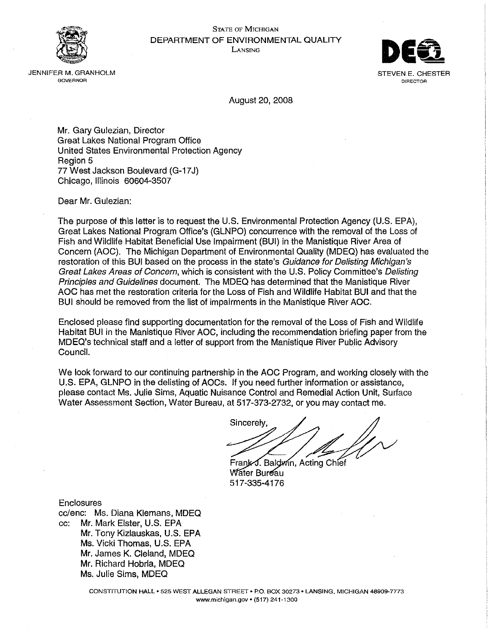

#### **STATE OF MICHIGAN** DEPARTMENT OF ENVIRONMENTAL QUALITY LANSING



JENNIFFR M. GRANHOLM **GOVERNOR** 

August 20, 2008

Mr. Gary Gulezian, Director **Great Lakes National Program Office** United States Environmental Protection Agency Region 5 77 West Jackson Boulevard (G-17J) Chicago, Illinois 60604-3507

Dear Mr. Gulezian:

The purpose of this letter is to request the U.S. Environmental Protection Agency (U.S. EPA), Great Lakes National Program Office's (GLNPO) concurrence with the removal of the Loss of Fish and Wildlife Habitat Beneficial Use Impairment (BUI) in the Manistique River Area of Concern (AOC). The Michigan Department of Environmental Quality (MDEQ) has evaluated the restoration of this BUI based on the process in the state's Guidance for Delisting Michigan's Great Lakes Areas of Concern, which is consistent with the U.S. Policy Committee's Delisting Principles and Guidelines document. The MDEQ has determined that the Manistique River AOC has met the restoration criteria for the Loss of Fish and Wildlife Habitat BUI and that the BUI should be removed from the list of impairments in the Manistique River AOC.

Enclosed please find supporting documentation for the removal of the Loss of Fish and Wildlife Habitat BUI in the Manistique River AOC, including the recommendation briefing paper from the MDEQ's technical staff and a letter of support from the Manistique River Public Advisory Council.

We look forward to our continuing partnership in the AOC Program, and working closely with the U.S. EPA, GLNPO in the delisting of AOCs. If you need further information or assistance, please contact Ms. Julie Sims, Aquatic Nuisance Control and Remedial Action Unit, Surface Water Assessment Section, Water Bureau, at 517-373-2732, or you may contact me.

Sincerely

Frank J. Baldwin, Acting Chief Water Bureau 517-335-4176

**Enclosures** 

cc/enc: Ms. Diana Klemans, MDEQ cc: Mr. Mark Elster, U.S. EPA Mr. Tony Kizlauskas, U.S. EPA Ms. Vicki Thomas, U.S. EPA Mr. James K. Cleland, MDEQ Mr. Richard Hobria, MDEQ Ms. Julie Sims, MDEQ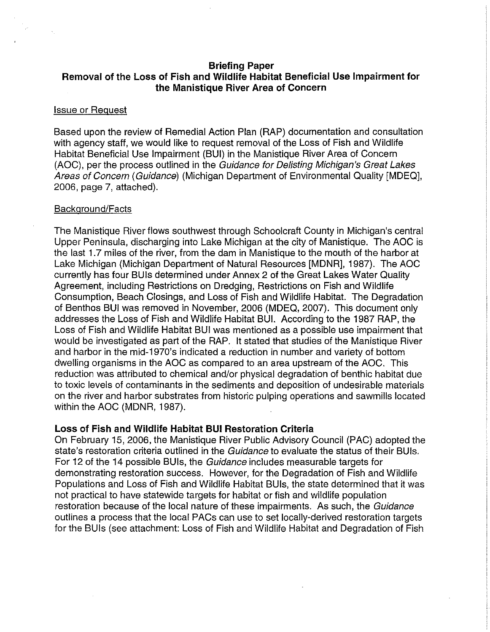## **Briefing Paper Removal of the Loss of Fish and Wildlife Habitat Beneficial Use Impairment for the Manistique River Area of Concern**

### Issue or Request

Based upon the review of Remedial Action Plan (RAP) documentation and consultation with agency staff, we would like to request removal of the Loss of Fish and Wildlife Habitat Beneficial Use Impairment (BUI) in the Manistique River Area of Concern (AOC), per the process outlined in the Guidance for Delisting Michigan's Great Lakes Areas of Concern (Guidance) (Michigan Department of Environmental Quality [MDEQ], 2006, page 7, attached).

## Background/Facts

The Manistique River flows southwest through Schoolcraft County in Michigan's central Upper Peninsula, discharging into Lake Michigan at the city of Manistique. The AOC is the last 1.7 miles of the river, from the dam in Manistique to the mouth of the harbor at Lake Michigan (Michigan Department of Natural Resources [MDNR], 1987). The AOC currently has four BUis determined under Annex 2 of the Great Lakes Water Quality Agreement, including Restrictions on Dredging, Restrictions on Fish and Wildlife Consumption, Beach Closings, and Loss of Fish and Wildlife Habitat. The Degradation of Benthos BUI was removed in November, 2006 (MDEQ, 2007). This document only addresses the Loss of Fish and Wildlife Habitat BUI. According to the 1987 RAP, the Loss of Fish and Wildlife Habitat BUI was mentioned as a possible use impairment that would be investigated as part of the RAP. It stated that studies of the Manistique River and harbor in the mid-1970's indicated a reduction in number and variety of bottom dwelling organisms in the AOC as compared to an area upstream of the AOC. This reduction was attributed to chemical and/or physical degradation of benthic habitat due to toxic levels of contaminants in the sediments and deposition of undesirable materials on the river and harbor substrates from historic pulping operations and sawmills located within the AOC (MDNR, 1987).

## **Loss of Fish and Wildlife Habitat BUI Restoration Criteria**

On February 15, 2006, the Manistique River Public Advisory Council (PAC) adopted the state's restoration criteria outlined in the Guidance to evaluate the status of their BUIs. For 12 of the 14 possible BUis, the Guidance includes measurable targets for demonstrating restoration success. However, for the Degradation of Fish and Wildlife Populations and Loss of Fish and Wildlife Habitat BUis, the state determined that it was not practical to have statewide targets for habitat or fish and wildlife population restoration because of the local nature of these impairments. As such, the Guidance outlines a process that the local PACs can use to set locally-derived restoration targets for the BUis (see attachment: Loss of Fish and Wildlife Habitat and Degradation of Fish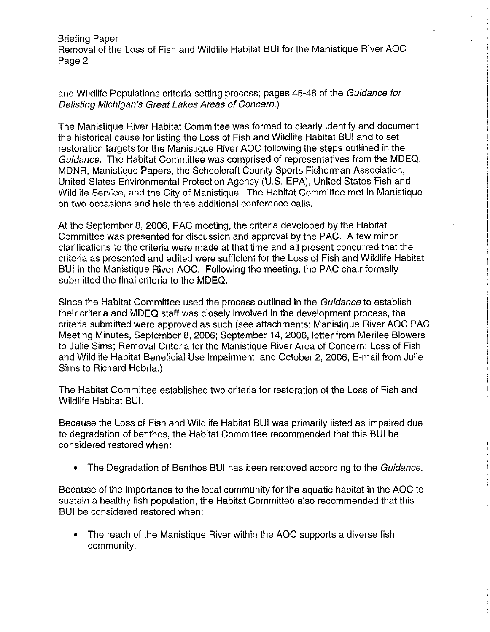Briefing Paper Removal of the Loss of Fish and Wildlife Habitat BUI for the Manistique River AOC Page 2

and Wildlife Populations criteria-setting process; pages 45-48 of the Guidance for Delisting Michigan's Great Lakes Areas of Concern.)

The Manistique River Habitat Committee was formed to clearly identify and document the historical cause for listing the Loss of Fish and Wildlife Habitat BUI and to set restoration targets for the Manistique River AOC following the steps outlined in the Guidance. The Habitat Committee was comprised of representatives from the MDEQ, MDNR, Manistique Papers, the Schoolcraft County Sports Fisherman Association, United States Environmental Protection Agency (U.S. EPA), United States Fish and Wildlife Service, and the City of Manistique. The Habitat Committee met in Manistique on two occasions and held three additional conference calls.

At the September 8, 2006, PAC meeting, the criteria developed by the Habitat Committee was presented for discussion and approval by the PAC. A few minor clarifications to the criteria were made at that time and all present concurred that the criteria as presented and edited were sufficient for the Loss of Fish and Wildlife Habitat BUI in the Manistique River AOC. Following the meeting, the PAC chair formally submitted the final criteria to the MDEQ.

Since the Habitat Committee used the process outlined in the Guidance to establish their criteria and MDEQ staff was closely involved in the development process, the criteria submitted were approved as such (see attachments: Manistique River AOC PAC Meeting Minutes, September 8, 2006; September 14, 2006, letter from Merilee Blowers to Julie Sims; Removal Criteria for the Manistique River Area of Concern: Loss of Fish and Wildlife Habitat Beneficial Use Impairment; and October 2, 2006, E-mail from Julie Sims to Richard Hobrla.)

The Habitat Committee established two criteria for restoration of the Loss of Fish and Wildlife Habitat BUI.

Because the Loss of Fish and Wildlife Habitat BUI was primarily listed as impaired due to degradation of benthos, the Habitat Committee recommended that this BUI be considered restored when:

• The Degradation of Benthos BUI has been removed according to the Guidance.

Because of the importance to the local community for the aquatic habitat in the AOC to sustain a healthy fish population, the Habitat Committee also recommended that this BUI be considered restored when:

• The reach of the Manistique River within the AOC supports a diverse fish community.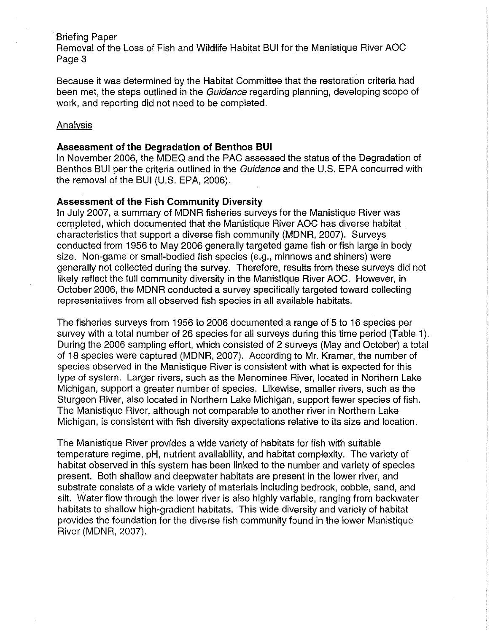## Briefing Paper

Removal of the Loss of Fish and Wildlife Habitat BUI for the Manistique River AOC Page 3

Because it was determined by the Habitat Committee that the restoration criteria had been met, the steps outlined in the Guidance regarding planning, developing scope of work, and reporting did not need to be completed.

## Analysis

## **Assessment of the Degradation of Benthos BUI**

In November 2006, the MDEQ and the PAC assessed the status of the Degradation of Benthos BUI per the criteria outlined in the Guidance and the U.S. EPA concurred with the removal of the BUI (U.S. EPA, 2006).

## **Assessment of the Fish Community Diversity**

In July 2007, a summary of MDNR fisheries surveys for the Manistique River was completed, which documented that the Manistique River AOC has diverse habitat characteristics that support a diverse fish community (MDNR, 2007). Surveys conducted from 1956 to May 2006 generally targeted game fish or fish large in body size. Non-game or small-bodied fish species (e.g., minnows and shiners) were generally not collected during the survey. Therefore, results from these surveys did not likely reflect the full community diversity in the Manistique River AOC. However, in October 2006, the MDNR conducted a survey specifically targeted toward collecting representatives from all observed fish species in all available habitats.

The fisheries surveys from 1956 to 2006 documented a range of 5 to 16 species per survey with a total number of 26 species for all surveys during this time period (Table 1). During the 2006 sampling effort, which consisted of 2 surveys (May and October) a total of 18 species were captured (MDNR, 2007). According to Mr. Kramer, the number of species observed in the Manistique River is consistent with what is expected for this type of system. Larger rivers, such as the Menominee River, located in Northern Lake Michigan, support a greater number of species. Likewise, smaller rivers, such as the Sturgeon River, also located in Northern Lake Michigan, support fewer species of fish. The Manistique River, although not comparable to another river in Northern Lake Michigan, is consistent with fish diversity expectations relative to its size and location.

The Manistique River provides a wide variety of habitats for fish with suitable temperature regime, pH, nutrient availability, and habitat complexity. The variety of habitat observed in this system has been linked to the number and variety of species present. Both shallow and deepwater habitats are present in the lower river, and substrate consists of a wide variety of materials including bedrock, cobble, sand, and silt. Water flow through the lower river is also highly variable, ranging from backwater habitats to shallow high-gradient habitats. This wide diversity and variety of habitat provides the foundation for the diverse fish community found in the lower Manistique River (MDNR, 2007).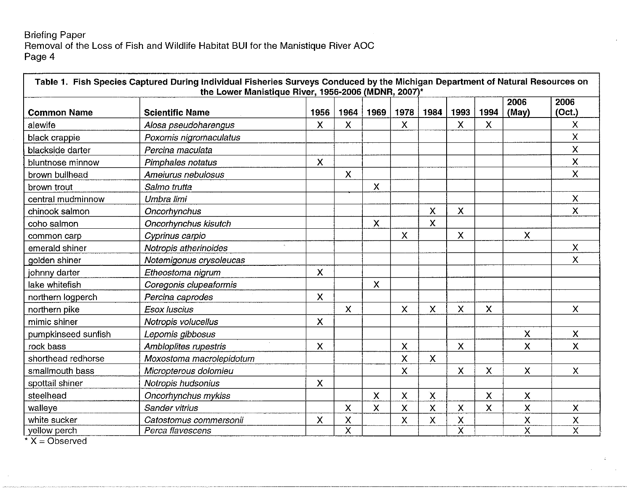## Briefing Paper Removal of the Loss of Fish and Wildlife Habitat **BUI** for the Manistique River AOC Page 4

|                     |                          |                             |                    |                           |              |                         |                           |      | 2006                      | 2006                      |
|---------------------|--------------------------|-----------------------------|--------------------|---------------------------|--------------|-------------------------|---------------------------|------|---------------------------|---------------------------|
| <b>Common Name</b>  | <b>Scientific Name</b>   | 1956                        | 1964               | 1969                      | 1978         | 1984                    | 1993                      | 1994 | (May)                     | (Oct.)                    |
| alewife             | Alosa pseudoharengus     | X                           | X                  |                           | $\mathsf{X}$ |                         | X                         | X    |                           | X                         |
| black crappie       | Poxomis nigromaculatus   |                             |                    |                           |              |                         |                           |      |                           | X                         |
| blackside darter    | Percina maculata         |                             |                    |                           |              |                         |                           |      |                           | X                         |
| bluntnose minnow    | Pimphales notatus        | $\boldsymbol{\mathsf{X}}$   |                    |                           |              |                         |                           |      |                           | $\boldsymbol{\mathsf{x}}$ |
| brown bullhead      | Ameiurus nebulosus       |                             | X                  |                           |              |                         |                           |      |                           | $\boldsymbol{\mathsf{X}}$ |
| brown trout         | Salmo trutta             |                             |                    | X                         |              |                         |                           |      |                           |                           |
| central mudminnow   | Umbra limi               |                             |                    |                           |              |                         |                           |      |                           | $\mathsf{X}$              |
| chinook salmon      | Oncorhynchus             |                             |                    |                           |              | $\mathsf{X}$            | X                         |      |                           | $\boldsymbol{\mathsf{X}}$ |
| coho salmon         | Oncorhynchus kisutch     |                             |                    | $\boldsymbol{\mathsf{X}}$ |              | $\mathsf{X}$            |                           |      |                           |                           |
| common carp         | Cyprinus carpio          |                             |                    |                           | X            |                         | X                         |      | $\mathsf{X}$              |                           |
| emerald shiner      | Notropis atherinoides    | $\mathcal{L}_{\mathcal{L}}$ |                    |                           |              |                         |                           |      |                           | X                         |
| golden shiner       | Notemigonus crysoleucas  |                             |                    |                           |              |                         |                           |      |                           | $\mathsf{x}$              |
| johnny darter       | Etheostoma nigrum        | $\boldsymbol{\mathsf{X}}$   |                    |                           |              |                         |                           |      |                           |                           |
| lake whitefish      | Coregonis clupeaformis   |                             |                    | $\boldsymbol{\chi}$       |              |                         |                           |      |                           |                           |
| northern logperch   | Percina caprodes         | $\boldsymbol{\mathsf{X}}$   |                    |                           |              |                         |                           |      |                           |                           |
| northern pike       | <b>Esox luscius</b>      |                             | X                  |                           | X            | $\mathsf{X}$            | X                         | X    |                           | $\mathsf{X}$              |
| mimic shiner        | Notropis volucellus      | X                           |                    |                           |              |                         |                           |      |                           |                           |
| pumpkinseed sunfish | Lepomis gibbosus         |                             |                    |                           |              |                         |                           |      | $\mathsf{x}$              | $\boldsymbol{X}$          |
| rock bass           | Ambloplites rupestris    | $\boldsymbol{\mathsf{X}}$   |                    |                           | $\mathsf{x}$ |                         | $\boldsymbol{\mathsf{X}}$ |      | $\mathsf{x}$              | $\mathsf{X}$              |
| shorthead redhorse  | Moxostoma macrolepidotum |                             |                    |                           | X            | $\mathsf{X}$            |                           |      |                           |                           |
| smallmouth bass     | Micropterous dolomieu    |                             |                    |                           | X            |                         | X                         | X    | $\mathsf{X}$              | $\boldsymbol{\mathsf{X}}$ |
| spottail shiner     | Notropis hudsonius       | $\boldsymbol{\mathsf{X}}$   |                    |                           |              |                         |                           |      |                           |                           |
| steelhead           | Oncorhynchus mykiss      |                             |                    | X                         | X            | $\mathsf X$             |                           | X    | $\boldsymbol{\mathsf{X}}$ |                           |
| walleye             | Sander vitrius           |                             | X                  | $\mathsf{\chi}$           | X            | $\overline{\mathsf{x}}$ | X                         | X    | $\mathsf{x}$              | $\boldsymbol{\mathsf{X}}$ |
| white sucker        | Catostomus commersonii   | X                           | $\pmb{\mathsf{X}}$ |                           | X            | X                       | $\mathsf{\chi}$           |      | X                         | $\pmb{\mathsf{X}}$        |
| yellow perch        | Perca flavescens         |                             | $\overline{\sf x}$ |                           |              |                         | $\overline{\mathsf{x}}$   |      | $\overline{\mathsf{x}}$   | $\overline{\textsf{x}}$   |

 $\overline{X} = \overline{Observed}$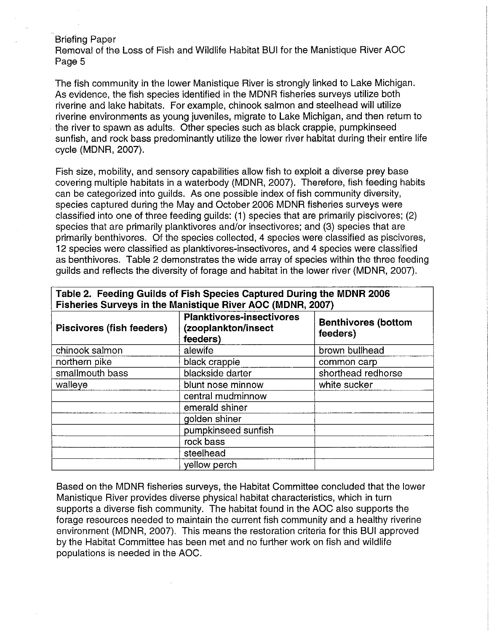Briefing Paper

Removal of the Loss of Fish and Wildlife Habitat SUI for the Manistique River AOC Page 5

The fish community in the lower Manistique River is strongly linked to Lake Michigan. As evidence, the fish species identified in the MDNR fisheries surveys utilize both riverine and lake habitats. For example, chinook salmon and steelhead will utilize riverine environments as young juveniles, migrate to Lake Michigan, and then return to the river to spawn as adults. Other species such as black crappie, pumpkinseed sunfish, and rock bass predominantly utilize the lower river habitat during their entire life cycle (MDNR, 2007).

Fish size, mobility, and sensory capabilities allow fish to exploit a diverse prey base covering multiple habitats in a waterbody (MDNR, 2007). Therefore, fish feeding habits can be categorized into guilds. As one possible index of fish community diversity, species captured during the May and October 2006 MDNR fisheries surveys were classified into one of three feeding guilds: (1) species that are primarily piscivores; (2) species that are primarily planktivores and/or insectivores; and (3) species that are primarily benthivores. Of the species collected, 4 species were classified as piscivores, 12 species were classified as planktivores-insectivores, and 4 species were classified as benthivores. Table 2 demonstrates the wide array of species within the three feeding guilds and reflects the diversity of forage and habitat in the lower river (MDNR, 2007).

| Fisheries Surveys in the Manistique River AOC (MDNR, 2007) |                                                                     |                                        |  |  |  |  |
|------------------------------------------------------------|---------------------------------------------------------------------|----------------------------------------|--|--|--|--|
| Piscivores (fish feeders)                                  | <b>Planktivores-insectivores</b><br>(zooplankton/insect<br>feeders) | <b>Benthivores (bottom</b><br>feeders) |  |  |  |  |
| chinook salmon                                             | alewife                                                             | brown bullhead                         |  |  |  |  |
| northern pike                                              | black crappie                                                       | common carp                            |  |  |  |  |
| smallmouth bass                                            | blackside darter                                                    | shorthead redhorse                     |  |  |  |  |
| walleye                                                    | blunt nose minnow                                                   | white sucker                           |  |  |  |  |
|                                                            | central mudminnow                                                   |                                        |  |  |  |  |
|                                                            | emerald shiner                                                      |                                        |  |  |  |  |
|                                                            | golden shiner                                                       |                                        |  |  |  |  |
|                                                            | pumpkinseed sunfish                                                 |                                        |  |  |  |  |
|                                                            | rock bass                                                           |                                        |  |  |  |  |
|                                                            | steelhead                                                           |                                        |  |  |  |  |
|                                                            | yellow perch                                                        |                                        |  |  |  |  |

**Table 2. Feeding Guilds of Fish Species Captured During the MDNR 2006** 

Based on the MDNR fisheries surveys, the Habitat Committee concluded that the lower Manistique River provides diverse physical habitat characteristics, which in turn supports a diverse fish community. The habitat found in the AOC also supports the forage resources needed to maintain the current fish community and a healthy riverine environment (MDNR, 2007). This means the restoration criteria for this SUI approved by the Habitat Committee has been met and no further work on fish and wildlife populations is needed in the AOC.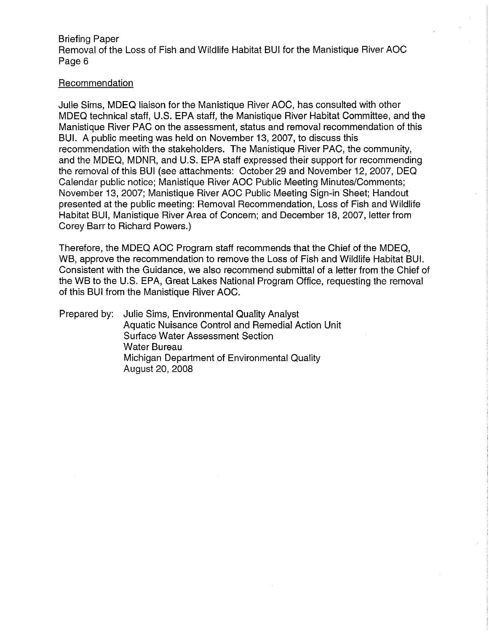Briefing Paper Removal of the Loss of Fish and Wildlife Habitat BUI for the Manistique River AOC Page 6

## Recommendation

Julie Sims, MDEQ liaison for the Manistique River AOC, has consulted with other MDEQ technical staff, U.S. EPA staff, the Manistique River Habitat Committee, and the Manistique River PAC on the assessment, status and removal recommendation of this BUI. A public meeting was held on November 13, 2007, to discuss this recommendation with the stakeholders. The Manistique River PAC, the community, and the MDEQ, MDNR, and U.S. EPA staff expressed their support for recommending the removal of this BUI (see attachments: October 29 and November 12, 2007, DEQ Calendar public notice; Manistique River AOC Public Meeting Minutes/Comments; November 13, 2007; Manistique River AOC Public Meeting Sign-in Sheet; Handout presented at the public meeting: Removal Recommendation, Loss of Fish and Wildlife Habitat BUI, Manistique River Area of Concern; and December 18, 2007, letter from Corey Barr to Richard Powers.)

Therefore, the MDEQ AOC Program staff recommends that the Chief of the MDEQ, WB, approve the recommendation to remove the Loss of Fish and Wildlife Habitat BUI. Consistent with the Guidance, we also recommend submittal of a letter from the Chief of the WB to the U.S. EPA, Great Lakes National Program Office, requesting the removal of this BUI from the Manistique River AOC.

Prepared by: Julie Sims, Environmental Quality Analyst Aquatic Nuisance Control and Remedial Action Unit Surface Water Assessment Section Water Bureau Michigan Department of Environmental Quality August 20, 2008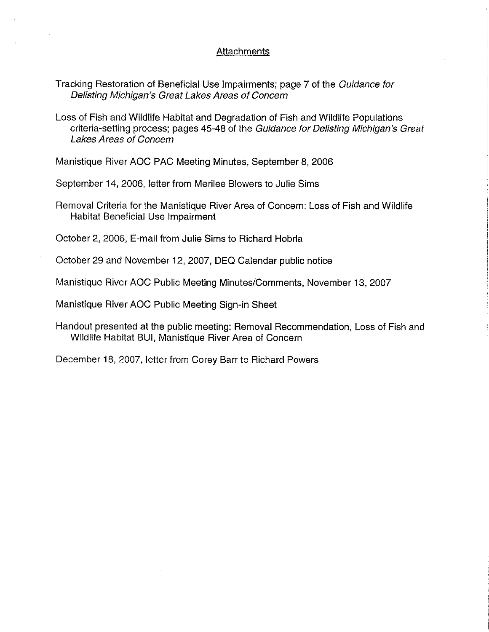### **Attachments**

- Tracking Restoration of Beneficial Use Impairments; page 7 of the Guidance for Delisting Michigan's Great Lakes Areas of Concern
- Loss of Fish and Wildlife Habitat and Degradation of Fish and Wildlife Populations criteria-setting process; pages 45-48 of the Guidance for Oelisting Michigan's Great Lakes Areas of Concern

Manistique River AOC PAC Meeting Minutes, September 8, 2006

September 14, 2006, letter from Merilee Blowers to Julie Sims

Removal Criteria for the Manistique River Area of Concern: Loss of Fish and Wildlife Habitat Beneficial Use Impairment

October 2, 2006, E-mail from Julie Sims to Richard Hobrla

October 29 and November 12, 2007, DEQ Calendar public notice

Manistique River AOC Public Meeting Minutes/Comments, November 13, 2007

Manistique River AOC Public Meeting Sign-in Sheet

Handout presented at the public meeting: Removal Recommendation, Loss of Fish and Wildlife Habitat BUI, Manistique River Area of Concern

December 18, 2007, letter from Corey Barr to Richard Powers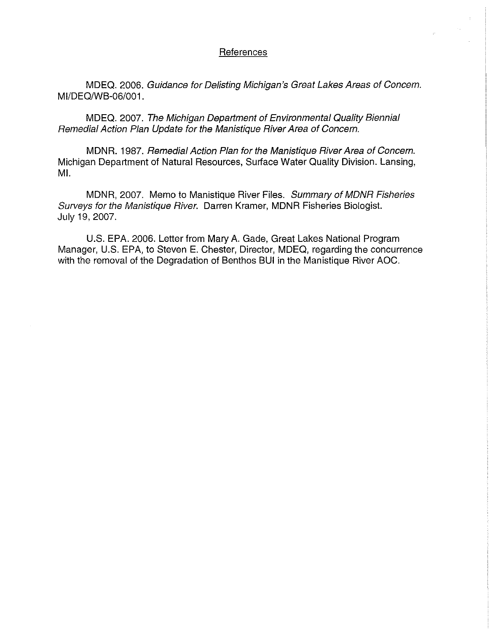#### References

MDEQ. 2006. Guidance for Delisting Michigan's Great Lakes Areas of Concern. MI/DEO/WB-06/001.

MDEQ. 2007. The Michigan Department of Environmental Quality Biennial Remedial Action Plan Update for the Manistique River Area of Concern.

MDNR. 1987. Remedial Action Plan for the Manistique River Area of Concern. Michigan Department of Natural Resources, Surface Water Quality Division. Lansing, MI.

MDNR, 2007. Memo to Manistique River Files. Summary of MDNR Fisheries Surveys for the Manistique River. Darren Kramer, MDNR Fisheries Biologist. July 19, 2007.

U.S. EPA. 2006. Letter from Mary A. Gade, Great Lakes National Program Manager, U.S. EPA, to Steven E. Chester, Director, MDEQ, regarding the concurrence with the removal of the Degradation of Benthos BUI in the Manistique River AOC.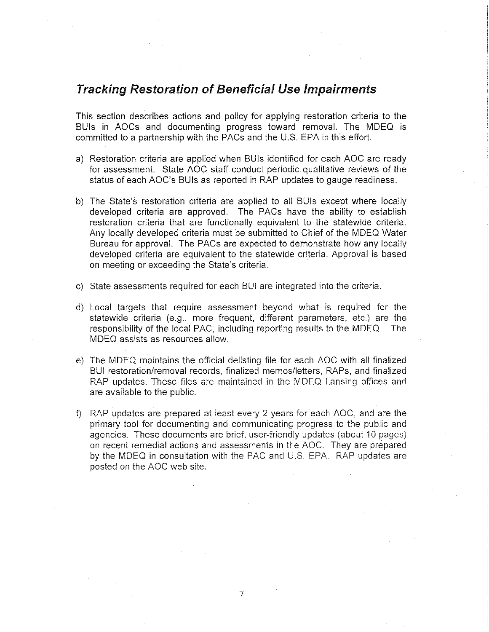# **Tracking Restoration of Beneficial Use Impairments**

This section describes actions and policy for applying restoration criteria to the BUis in AOCs and documenting progress toward removal. The MDEQ is committed to a partnership with the PACs and the U.S. EPA in this effort.

- a) Restoration criteria are applied when BUis identified for each AOC are ready for assessment. State AOC staff conduct periodic qualitative reviews of the status of each AOC's BUis as reported in RAP updates to gauge readiness.
- b) The State's restoration criteria are applied to all BUis except where locally developed criteria are approved. The PACs have the ability to establish restoration criteria that are functionally equivalent to the statewide criteria. Any locally developed criteria must be submitted to Chief of the MDEQ Water Bureau for approval. The PACs are expected to demonstrate how any locally developed criteria are equivalent to the statewide criteria. Approval is based on meeting or exceeding the State's criteria.
- c) State assessments required for each BUI are integrated into the criteria.
- d) Local targets that require assessment beyond what is required for the statewide criteria (e.g., more frequent, different parameters, etc.) are the responsibility of the local PAC, including reporting results to the MDEQ. The MDEQ assists as resources allow.
- e) The MDEQ maintains the official delisting file for each AOC with all finalized BUI restoration/removal records, finalized memos/letters, RAPs, and finalized RAP updates. These files are maintained in the MDEQ Lansing offices and are available to the public.
- f) RAP updates are prepared at least every 2 years for each AOC, and are the primary tool for documenting and communicating progress to the public and agencies. These documents are brief, user-friendly updates (about 10 pages) on recent remedial actions and assessments in the AOC. They are prepared by the MDEQ in consultation with the PAC and U.S. EPA. RAP updates are posted on the AOC web site.

7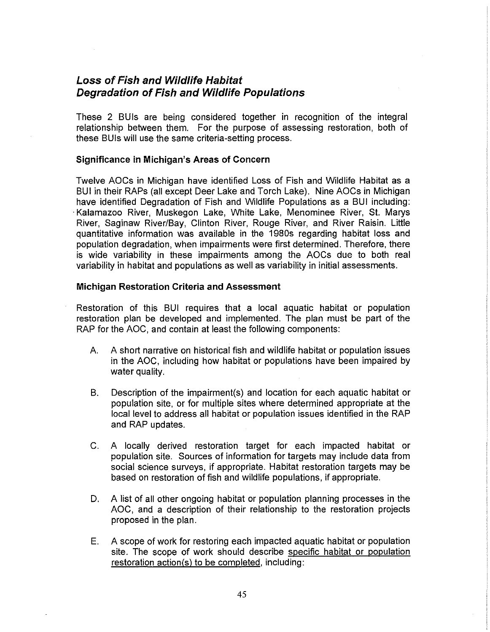## **Loss of Fish and Wildlife Habitat Degradation of Fish and Wildlife Populations**

These 2 BUIs are being considered together in recognition of the integral relationship between them. For the purpose of assessing restoration, both of these BUis will use the same criteria-setting process.

### **Significance in Michigan's Areas of Concern**

Twelve AOCs in Michigan have identified Loss of Fish and Wildlife Habitat as a BUI in their RAPs (all except Deer Lake and Torch Lake). Nine AOCs in Michigan have identified Degradation of Fish and Wildlife Populations as a BUI including: ·Kalamazoo River, Muskegon Lake, White Lake, Menominee River, St. Marys River, Saginaw River/Bay, Clinton River, Rouge River, and River Raisin. Little quantitative information was available in the 1980s regarding habitat loss and population degradation, when impairments were first determined. Therefore, there is wide variability in these impairments among the AOCs due to both real variability in habitat and populations as well as variability in initial assessments.

#### **Michigan Restoration Criteria and Assessment**

Restoration of this BUI requires that a local aquatic habitat or population restoration plan be developed and implemented. The plan must be part of the RAP for the AOC, and contain at least the following components:

- A. A short narrative on historical fish and wildlife habitat or population issues in the AOC, including how habitat or populations have been impaired by water quality.
- B. Description of the impairment(s) and location for each aquatic habitat or population site, or for multiple sites where determined appropriate at the local level to address all habitat or population issues identified in the RAP and RAP updates.
- C. A locally derived restoration target for each impacted habitat or population site. Sources of information for targets may include data from social science surveys, if appropriate. Habitat restoration targets may be based on restoration of fish and wildlife populations, if appropriate.
- D. A list of all other ongoing habitat or population planning processes in the AOC, and a description of their relationship to the restoration projects proposed in the plan.
- E. A scope of work for restoring each impacted aquatic habitat or population site. The scope of work should describe specific habitat or population restoration action(s) to be completed, including: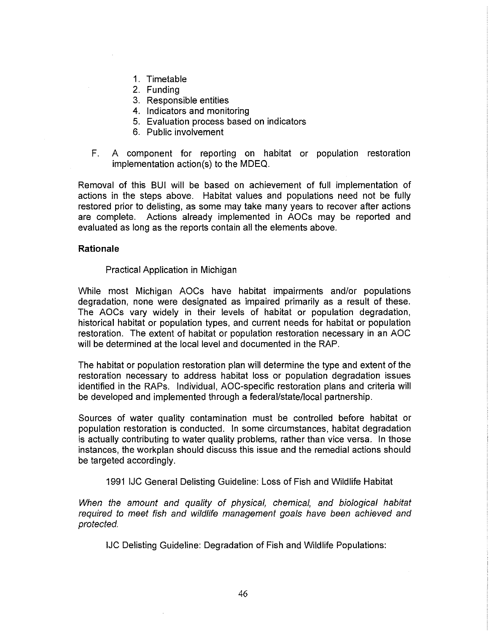- 1. Timetable
- 2. Funding
- 3. Responsible entities
- 4. Indicators and monitoring
- 5. Evaluation process based on indicators
- 6. Public involvement
- F. A component for reporting on habitat or population restoration implementation action(s) to the MDEQ.

Removal of this BUI will be based on achievement of full implementation of actions in the steps above. Habitat values and populations need not be fully restored prior to delisting, as some may take many years to recover after actions are complete. Actions already implemented in AOCs may be reported and evaluated as long as the reports contain all the elements above.

### **Rationale**

### Practical Application in Michigan

While most Michigan AOCs have habitat impairments and/or populations degradation, none were designated as impaired primarily as a result of these. The AOCs vary widely in their levels of habitat or population degradation, historical habitat or population types, and current needs for habitat or population restoration. The extent of habitat or population restoration necessary in an AOC will be determined at the local level and documented in the RAP.

The habitat or population restoration plan will determine the type and extent of the restoration necessary to address habitat loss or population degradation issues identified in the RAPs. Individual, AOC-specific restoration plans and criteria will be developed and implemented through a federal/state/local partnership.

Sources of water quality contamination must be controlled before habitat or population restoration is conducted. In some circumstances, habitat degradation is actually contributing to water quality problems, rather than vice versa. In those instances, the workplan should discuss this issue and the remedial actions should be targeted accordingly.

## 1991 IJC General Delisting Guideline: Loss of Fish and Wildlife Habitat

When the amount and quality of physical, chemical, and biological habitat required to meet fish and wildlife management goals have been achieved and protected.

IJC Delisting Guideline: Degradation of Fish and Wildlife Populations: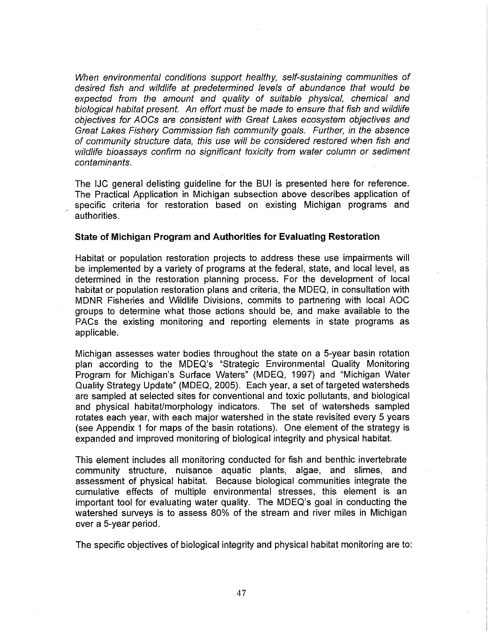When environmental conditions support healthy, self-sustaining communities of desired fish and wildlife at predetermined levels of abundance that would be expected from the amount and quality of suitable physical, chemical and biological habitat present. An effort must be made to ensure that fish and wildlife objectives for AOCs are consistent with Great Lakes ecosystem objectives and Great Lakes Fishery Commission fish community goals. Further, in the absence of community structure data, this use will be considered restored when fish and wildlife bioassays confirm no significant toxicity from water column or sediment contaminants.

The IJC general delisting guideline for the BUI is presented here for reference. The Practical Application in Michigan subsection above describes application of specific criteria for restoration based on existing Michigan programs and authorities.

#### **State of Michigan Program and Authorities for Evaluating Restoration**

Habitat or population restoration projects to address these use impairments will be implemented by a variety of programs at the federal, state, and local level, as determined in the restoration planning process. For the development of local habitat or population restoration plans and criteria, the MDEQ, in consultation with MDNR Fisheries and Wildlife Divisions, commits to partnering with local AOC groups to determine what those actions should be, and make available to the PACs the existing monitoring and reporting elements in state programs as applicable.

Michigan assesses water bodies throughout the state on a 5-year basin rotation plan according to the MDEQ's "Strategic Environmental Quality Monitoring Program for Michigan's Surface Waters" (MDEQ, 1997) and "Michigan Water Quality Strategy Update" (MDEQ, 2005). Each year, a set of targeted watersheds are sampled at selected sites for conventional and toxic pollutants, and biological and physical habitat/morphology indicators. The set of watersheds sampled rotates each year, with each major watershed in the state revisited every 5 years (see Appendix 1 for maps of the basin rotations). One element of the strategy is expanded and improved monitoring of biological integrity and physical habitat.

This element includes all monitoring conducted for fish and benthic invertebrate community structure, nuisance aquatic plants, algae, and slimes, and assessment of physical habitat. Because biological communities integrate the cumulative effects of multiple environmental stresses, this element is an important tool for evaluating water quality. The MDEQ's goal in conducting the watershed surveys is to assess 80% of the stream and river miles in Michigan over a 5-year period.

The specific objectives of biological integrity and physical habitat monitoring are to: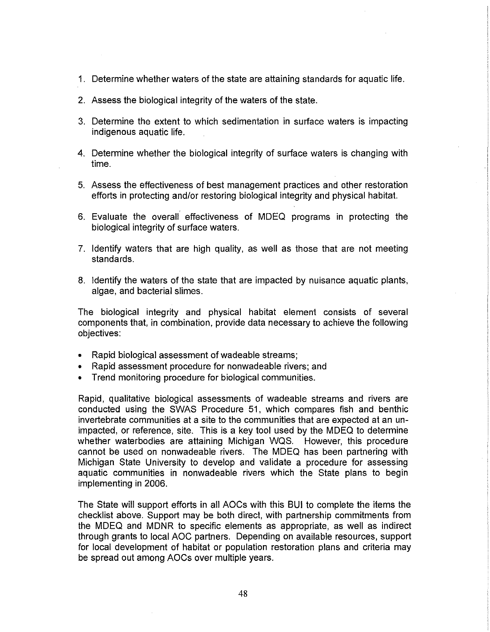- 1. Determine whether waters of the state are attaining standards for aquatic life.
- 2. Assess the biological integrity of the waters of the state.
- 3. Determine the extent to which sedimentation in surface waters is impacting indigenous aquatic life.
- 4. Determine whether the biological integrity of surface waters is changing with time.
- 5. Assess the effectiveness of best management practices and other restoration efforts in protecting and/or restoring biological integrity and physical habitat.
- 6. Evaluate the overall· effectiveness of MDEQ programs in protecting the biological integrity of surface waters.
- 7. Identify waters that are high quality, as well as those that are not meeting standards.
- 8. Identify the waters of the state that are impacted by nuisance aquatic plants, algae, and bacterial slimes.

The biological integrity and physical habitat element consists of several components that, in combination, provide data necessary to achieve the following objectives:

- Rapid biological assessment of wadeable streams;
- Rapid assessment procedure for nonwadeable rivers; and
- Trend monitoring procedure for biological communities.

Rapid, qualitative biological assessments of wadeable streams and rivers are conducted using the SWAS Procedure 51, which compares fish and benthic invertebrate communities at a site to the communities that are expected at an unimpacted, or reference, site. This is a key tool used by the MDEQ to determine whether waterbodies are attaining Michigan WQS. However, this procedure cannot be used on nonwadeable rivers. The MDEQ has been partnering with Michigan State University to develop and validate a procedure for assessing aquatic communities in nonwadeable rivers which the State plans to begin implementing in 2006.

The State will support efforts in all AOCs with this BUI to complete the items the checklist above. Support may be both direct, with partnership commitments from the MDEQ and MDNR to specific elements as appropriate, as well as indirect through grants to local AOC partners. Depending on available resources, support for local development of habitat or population restoration plans and criteria may be spread out among AOCs over multiple years.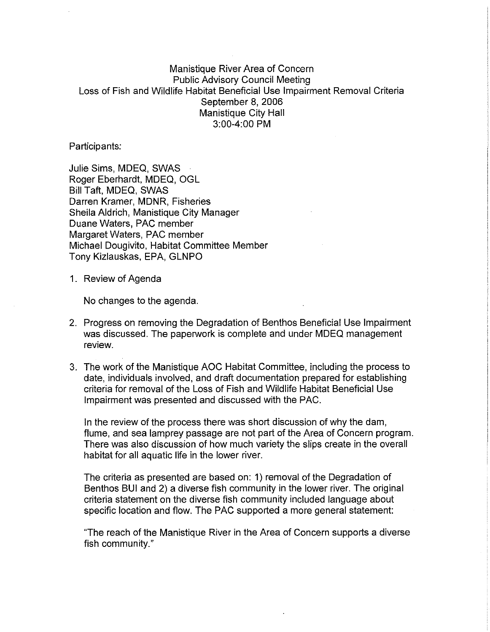## Manistique River Area of Concern Public Advisory Council Meeting Loss of Fish and Wildlife Habitat Beneficial Use Impairment Removal Criteria September 8, 2006 Manistique City Hall 3:00-4:00 PM

Participants:

Julie Sims, MDEQ, SWAS Roger Eberhardt, MDEQ, OGL Bill Taft, MDEQ, SWAS Darren Kramer, MDNR, Fisheries Sheila Aldrich, Manistique City Manager Duane Waters, PAC member Margaret Waters, PAC member Michael Dougivito, Habitat Committee Member Tony Kizlauskas, EPA, GLNPO

1. Review of Agenda

No changes to the agenda.

- 2. Progress on removing the Degradation of Benthos Beneficial Use Impairment was discussed. The paperwork is complete and under MDEQ management review.
- 3. The work of the Manistique AOC Habitat Committee, including the process to date, individuals involved, and draft documentation prepared for establishing criteria for removal of the Loss of Fish and Wildlife Habitat Beneficial Use Impairment was presented and discussed with the PAC.

In the review of the process there was short discussion of why the dam, flume, and sea lamprey passage are not part of the Area of Concern program. There was also discussion of how much variety the slips create in the overall habitat for all aquatic life in the lower river.

The criteria as presented are based on: 1) removal of the Degradation of Benthos BUI and 2) a diverse fish community in the lower river. The original criteria statement on the diverse fish community included language about specific location and flow. The PAC supported a more general statement:

"The reach of the Manistique River in the Area of Concern supports a diverse fish community."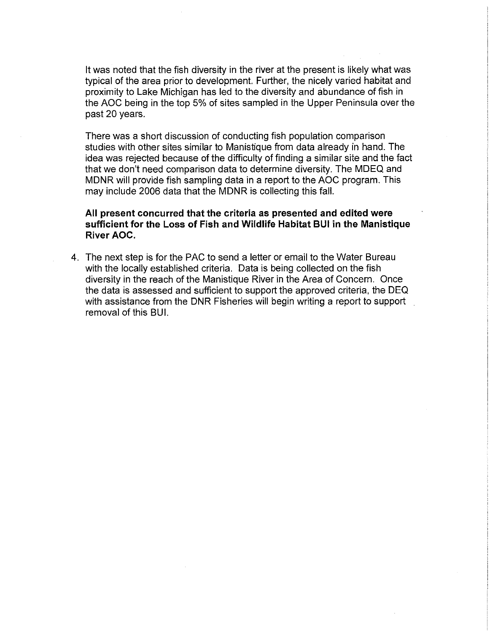It was noted that the fish diversity in the river at the present is likely what was typical of the area prior to development. Further, the nicely varied habitat and proximity to Lake Michigan has led to the diversity and abundance of fish in the AOC being in the top 5% of sites sampled in the Upper Peninsula over the past 20 years.

There was a short discussion of conducting fish population comparison studies with other sites similar to Manistique from data already in hand. The idea was rejected because of the difficulty of finding a similar site and the fact that we don't need comparison data to determine diversity. The MDEQ and MDNR will provide fish sampling data in a report to the AOC program. This may include 2006 data that the MDNR is collecting this fall.

**All present concurred that the criteria as presented and edited were sufficient for the Loss of Fish and Wildlife Habitat BUI in the Manistique River AOC.** 

4. The next step is for the PAC to send a letter or email to the Water Bureau with the locally established criteria. Data is being collected on the fish diversity in the reach of the Manistique River in the Area of Concern. Once the data is assessed and sufficient to support the approved criteria, the DEQ with assistance from the DNR Fisheries will begin writing a report to support removal of this BUI.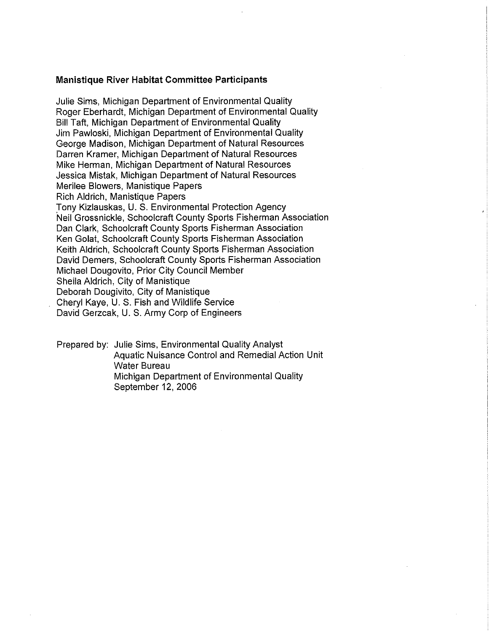#### **Manistique River Habitat Committee Participants**

Julie Sims, Michigan Department of Environmental Quality Roger Eberhardt, Michigan Department of Environmental Quality Bill Taft, Michigan Department of Environmental Quality Jim Pawloski, Michigan Department of Environmental Quality George Madison, Michigan Department of Natural Resources Darren Kramer, Michigan Department of Natural Resources Mike Herman, Michigan Department of Natural Resources Jessica Misiak, Michigan Department of Natural Resources Merilee Blowers, Manistique Papers Rich Aldrich, Manistique Papers Tony Kizlauskas, U. S. Environmental Protection Agency Neil Grossnickle, Schoolcraft County Sports Fisherman Association Dan Clark, Schoolcraft County Sports Fisherman Association Ken Golat, Schoolcraft County Sports Fisherman Association Keith Aldrich, Schoolcraft County Sports Fisherman Association David Demers, Schoolcraft County Sports Fisherman Association Michael Dougovito, Prior City Council Member Sheila Aldrich, City of Manistique Deborah Dougivito, City of Manistique Cheryl Kaye, U. S. Fish and Wildlife Service David Gerzcak, U. S. Army Corp of Engineers

Prepared by: Julie Sims, Environmental Quality Analyst Aquatic Nuisance Control and Remedial Action Unit Water Bureau Michigan Department of Environmental Quality September 12, 2006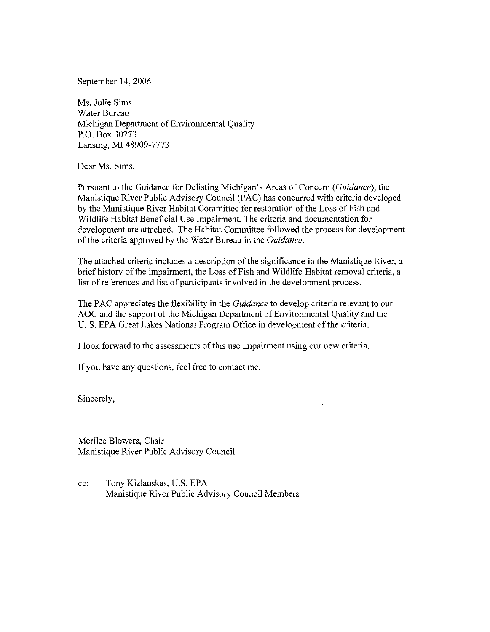September 14, 2006

Ms. Julie Sims Water Bureau Michigan Department of Environmental Quality P.O. Box 30273 Lansing, MI 48909-7773

Dear Ms. Sims,

Pursuant to the Guidance for Delisting Michigan's Areas of Concern *(Guidance),* the Manistique River Public Advisory Council (PAC) has concurred with criteria developed by the Manistique River Habitat Committee for restoration of the Loss of Fish and Wildlife Habitat Beneficial Use Impairment. The criteria and documentation for development are attached. The Habitat Committee followed the process for development of the criteria approved by the Water Bureau in the *Guidance.* 

The attached criteria includes a description of the significance in the Manistique River, a brief history of the impairment, the Loss of Fish and Wildlife Habitat removal criteria, a list of references and list of participants involved in the development process.

The PAC appreciates the flexibility in the *Guidance* to develop criteria relevant to our AOC and the support of the Michigan Department of Environmental Quality and the U. S. EPA Great Lakes National Program Office in development of the criteria.

I look forward to the assessments of this use impairment using our new criteria.

If you have any questions, feel free to contact me.

Sincerely,

Merilee Blowers, Chair Manistique River Public Advisory Council

cc: Tony Kizlauskas, U.S. EPA Manistique River Public Advisory Council Members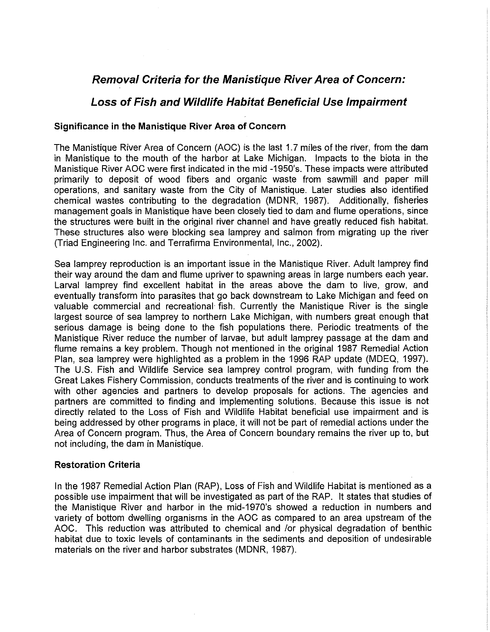# **Removal Criteria for the Manistique River Area of Concern:**

# **Loss of Fish and Wildlife Habitat Beneficial Use Impairment**

## **Significance in the Manistique River Area of Concern**

The Manistique River Area of Concern (AOC) is the last 1. 7 miles of the river, from the dam in Manistique to the mouth of the harbor at Lake Michigan. Impacts to the biota in the Manistique River AOC were first indicated in the mid -1950's. These impacts were attributed primarily to deposit of wood fibers and organic waste from sawmill and paper mill operations, and sanitary waste from the City of Manistique. Later studies also identified chemical wastes contributing to the degradation (MDNR, 1987). Additionally, fisheries management goals in Manistique have been closely tied to dam and flume operations, since the structures were built in the original river channel and have greatly reduced fish habitat. These structures also were blocking sea lamprey and salmon from migrating up the river (Triad Engineering Inc. and Terrafirma Environmental, Inc., 2002).

Sea lamprey reproduction is an important issue in the Manistique River. Adult lamprey find their way around the dam and flume upriver to spawning areas in large numbers each year. Larval lamprey find excellent habitat in the areas above the dam to live, grow, and eventually transform into parasites that go back downstream to Lake Michigan and feed on valuable commercial and recreational fish. Currently the Manistique River is the single largest source of sea lamprey to northern Lake Michigan, with numbers great enough that serious damage is being done to the fish populations there. Periodic treatments of the Manistique River reduce the number of larvae, but adult lamprey passage at the dam and flume remains a key problem. Though not mentioned in the original 1987 Remedial Action Plan, sea lamprey were highlighted as a problem in the 1996 RAP update (MDEQ, 1997). The U.S. Fish and Wildlife Service sea lamprey control program, with funding from the Great Lakes Fishery Commission, conducts treatments of the river and is continuing to work with other agencies and partners to develop proposals for actions. The agencies and partners are committed to finding and implementing solutions. Because this issue is not directly related to the Loss of Fish and Wildlife Habitat beneficial use impairment and is being addressed by other programs in place, it will not be part of remedial actions under the Area of Concern program. Thus, the Area of Concern boundary remains the river up to, but not including, the dam in Manistique.

## **Restoration Criteria**

In the 1987 Remedial Action Plan (RAP), Loss of Fish and Wildlife Habitat is mentioned as a possible use impairment that will be investigated as part of the RAP. It states that studies of the Manistique River and harbor in the mid-1970's showed a reduction in numbers and variety of bottom dwelling organisms in the AOC as compared to an area upstream of the AOC. This reduction was attributed to chemical and /or physical degradation of benthic habitat due to toxic levels of contaminants in the sediments and deposition of undesirable materials on the river and harbor substrates (MDNR, 1987).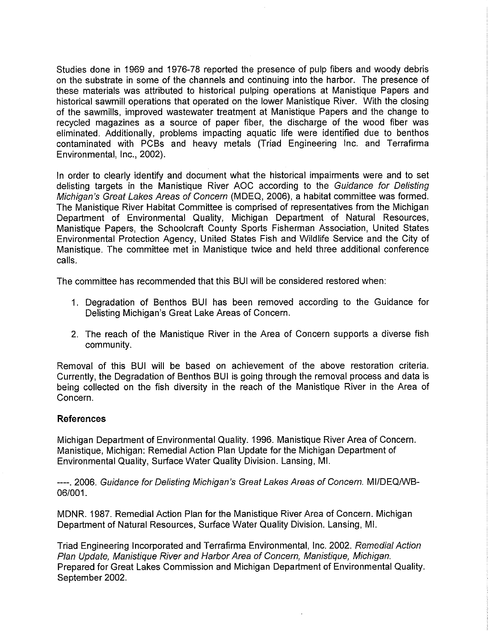Studies done in 1969 and 1976-78 reported the presence of pulp fibers and woody debris on the substrate in some of the channels and continuing into the harbor. The presence of these materials was attributed to historical pulping operations at Manistique Papers and historical sawmill operations that operated on the lower Manistique River. With the closing of the sawmills, improved wastewater treatment at Manistique Papers and the change to recycled magazines as a source of paper fiber, the discharge of the wood fiber was eliminated. Additionally, problems impacting aquatic life were identified due to benthos contaminated with PCBs and heavy metals (Triad Engineering Inc. and Terrafirma Environmental, Inc., 2002).

In order to clearly identify and document what the historical impairments were and to set delisting targets in the Manistique River AOC according to the Guidance for Delisting Michigan's Great Lakes Areas of Concern (MDEQ, 2006), a habitat committee was formed. The Manistique River Habitat Committee is comprised of representatives from the Michigan Department of Environmental Quality, Michigan Department of Natural Resources, Manistique Papers, the Schoolcraft County Sports Fisherman Association, United States Environmental Protection Agency, United States Fish and Wildlife Service and the City of Manistique. The committee met in Manistique twice and held three additional conference calls.

The committee has recommended that this BUI will be considered restored when:

- 1. Degradation of Benthos BUI has been removed according to the Guidance for Delisting Michigan's Great Lake Areas of Concern.
- 2. The reach of the Manistique River in the Area of Concern supports a diverse fish community.

Removal of this BUI will be based on achievement of the above restoration criteria. Currently, the Degradation of Benthos BUI is going through the removal process and data is being collected on the fish diversity in the reach of the Manistique River in the Area of Concern.

### **References**

Michigan Department of Environmental Quality. 1996. Manistique River Area of Concern. Manistique, Michigan: Remedial Action Plan Update for the Michigan Department of Environmental Quality, Surface Water Quality Division. Lansing, MI.

----. 2006. Guidance for Delisting Michigan's Great Lakes Areas of Concern. MI/DEQ/WB-06/001.

MDNR. 1987. Remedial Action Plan for the Manistique River Area of Concern. Michigan Department of Natural Resources, Surface Water Quality Division. Lansing, MI.

Triad Engineering Incorporated and Terrafirma Environmental, Inc. 2002. Remedial Action Plan Update, Manistique River and Harbor Area of Concern, Manistique, Michigan. Prepared for Great Lakes Commission and Michigan Department of Environmental Quality. September 2002.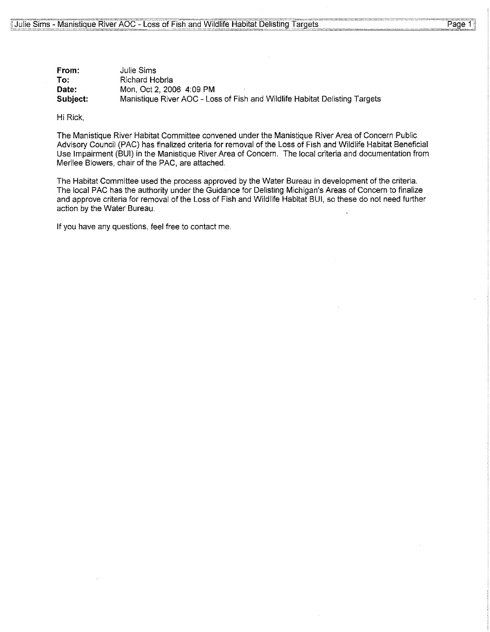| From:    | Julie Sims                                                                 |
|----------|----------------------------------------------------------------------------|
| To:      | Richard Hobrla                                                             |
| Date:    | Mon, Oct 2, 2006 4:09 PM                                                   |
| Subject: | Manistique River AOC - Loss of Fish and Wildlife Habitat Delisting Targets |

Hi Rick,

The Manistique River Habitat Committee convened under the Manistique River Area of Concern Public Advisory Council (PAC) has finalized criteria for removal of the Loss of Fish and Wildlife Habitat Beneficial Use Impairment (BUI) in the Manistique River Area of Concern. The local criteria and documentation from Merilee Blowers, chair of the PAC, are attached.

The Habitat Committee used the process approved by the Water Bureau in development of the criteria. The local PAC has the authority under the Guidance for Delisting Michigan's Areas of Concern to finalize and approve criteria for removal of the Loss of Fish and Wildlife Habitat BUI, so these do not need further action by the Water Bureau.

If you have any questions, feel free to contact me.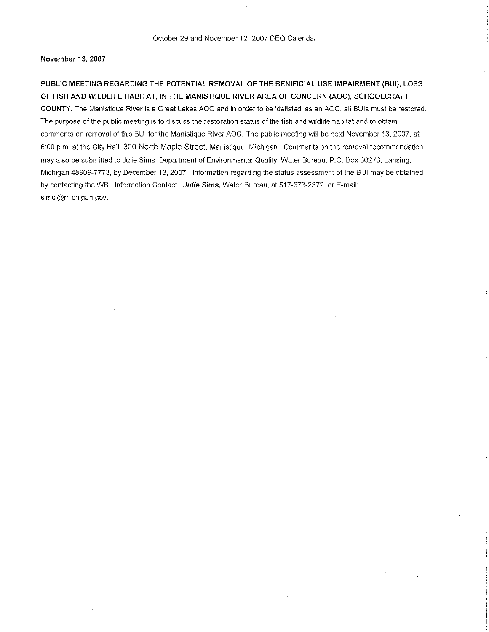November 13, 2007

PUBLIC MEETING REGARDING THE POTENTIAL REMOVAL OF THE BENIFICIAL USE IMPAIRMENT (BUI), LOSS OF FISH AND WILDLIFE HABITAT, IN THE MANISTIQUE RIVER AREA OF CONCERN (AOC), SCHOOLCRAFT COUNTY. The Manistique River is a Great Lakes AOC and in order to be 'delisted' as an AOC, all BUis must be restored. The purpose of the public meeting is to discuss the restoration status of the fish and wildlife habitat and to obtain comments on removal of this BUI for the Manistique River AOC. The public meeting will be held November 13, 2007, at 6:00 p.m. at the City Hall, 300 North Maple Street, Manistique, Michigan. Comments on the removal recommendation may also be submitted to Julie Sims, Department of Environmental Quality, Water Bureau, P.O. Box 30273, Lansing, Michigan 48909-7773, by December 13, 2007. Information regarding the status assessment of the BUI may be obtained by contacting the WB. Information Contact: Julie Sims, Water Bureau, at 517-373-2372, or E-mail: simsj@michigan.gov.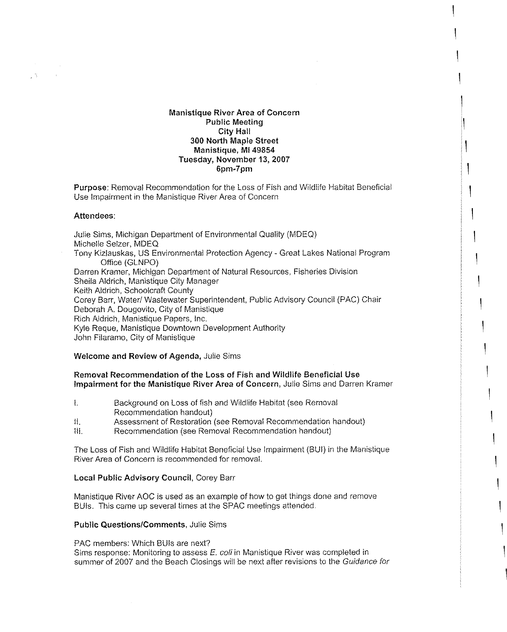## **Manistique River Area of Concern Public Meeting City Hall 300 North Maple Street Manistique, Ml 49854 Tuesday, November 13,2007 6pm-7pm**

I

 $\mathbb{I}$ 

I

 $\mathbf{I}$ 

 $\mathbf{I}$ 

 $\overline{\phantom{a}}$ 

**Purpose:** Removal Recommendation for the Loss of Fish and Wildlife Habitat Beneficial Use Impairment in the Manistique River Area of Concern

### **Attendees:**

 $\sqrt{3}$ 

Julie Sims, Michigan Department of Environmental Quality (MDEQ) Michelle Seizer, MDEQ Tony Kizlauskas, US Environmental Protection Agency - Great Lakes National Program Office (GLNPO) Darren Kramer, Michigan Department of Natural Resources, Fisheries Division Sheila Aldrich, Manistique City Manager Keith Aldrich, Schoolcraft County Corey Barr, Water/ Wastewater Superintendent, Public Advisory Council (PAC) Chair Deborah A. Dougovito, City of Manistique Rich Aldrich, Manistique Papers, Inc. Kyle Reque, Manistique Downtown Development Authority John Filaramo, City of Manistique

### **Welcome and Review of Agenda,** Julie Sims

## **Removal Recommendation of the Loss of Fish and Wildlife Beneficial Use Impairment for the Manistique River Area of Concern,** Julie Sims and Darren Kramer

- I. Background on Loss of fish and Wildlife Habitat (see Removal Recommendation handout)
- II. Assessment of Restoration (see Removal Recommendation handout)
- Ill. Recommendation (see Removal Recommendation handout)

The Loss of Fish and Wildlife Habitat Beneficial Use Impairment (BUI) in the Manistique River Area of Concern is recommended for removal.

## **Local Public Advisory Council,** Corey Barr

Manistique River AOC is used as an example of how to get things done and remove BUis. This came up several times at the SPAC meetings attended.

### **Public Questions/Comments,** Julie Sims

PAC members: Which BUis are next? Sims response: Monitoring to assess *E.* coli in Manistique River was completed in summer of 2007 and the Beach Closings will be next after revisions to the Guidance for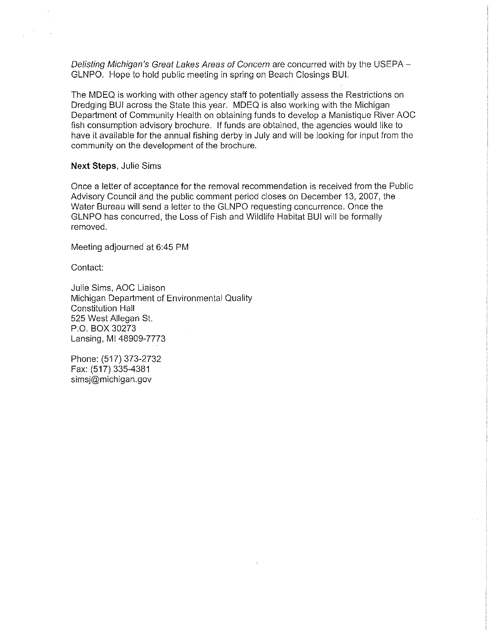Delisting Michigan's Great Lakes Areas of Concern are concurred with by the USEPA -GLNPO. Hope to hold public meeting in spring on Beach Closings BUI.

The MDEQ is working with other agency staff to potentially assess the Restrictions on Dredging BUI across the State this year. MDEQ is also working with the Michigan Department of Community Health on obtaining funds to develop a Manistique River AOC fish consumption advisory brochure. If funds are obtained, the agencies would like to have it available for the annual fishing derby in July and will be looking for input from the community on the development of the brochure.

### **Next Steps,** Julie Sims

Once a letter of acceptance for the removal recommendation is received from the Public Advisory Council and the public comment period closes on December 13, 2007, the Water Bureau will send a letter to the GLNPO requesting concurrence. Once the GLNPO has concurred, the Loss of Fish and Wildlife Habitat BUI will be formally removed.

Meeting adjourned at 6:45 PM

Contact:

Julie Sims, AOC Liaison Michigan Department of Environmental Quality Constitution Hall 525 West Allegan St. P.O. BOX 30273 Lansing, Ml 48909-7773

Phone: (517) 373-2732 Fax: (517) 335-4381 simsj@michigan.gov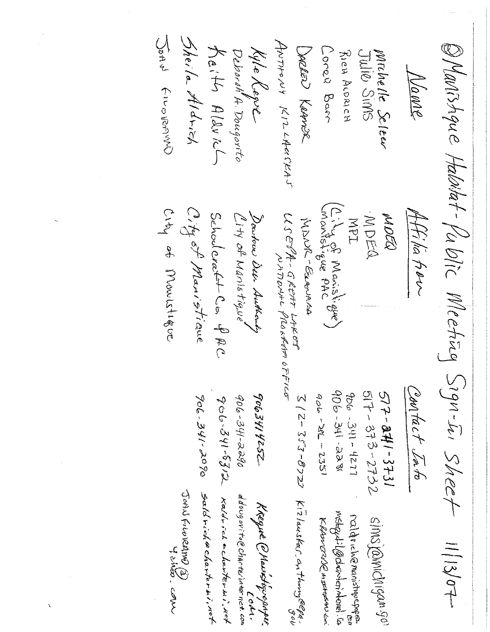Uster Price Reprod Sheila Aldrich ANTHONY KILLAUSKAJ OMONTSAque Halditat-Public Meeting Sign-In Sheet  $K$ aith Alavich DARRED KRAMER Kyle Kepve Cored Barr Jule Sins Deborah A. Dougorito Rich Aronich Michelle Seleen Name City of Manistrane City of Monistique City of Maristique) Affilia fior MOCQ Schoolerat+ Co. PAC MDEQ. Dowstow Dela Authority<br>City of Maristique  $\mathcal{U}$ SENA - GREITT LAKET<br>WATONAL PROAFERCE ADOR-Barres IdN Contact Into 906-341-238 517-373-2732  $577 - 841 - 3731$  $q_{DG}$  - 341 - 1277  $906 - 28 = 2351$ 9063414252 906-341-2290 3 / 2-353-B7Z7 Ki2lauskar, anthonog@epa. 906-341-2090 906.341-5312 Saldriche charterni, ret Johil FilmRAMA (S)<br>Johil FilmD y dina . com Kaldrich acharter wir wet Colu<br>ddougovito@charterinternet.com KREGINE @ Hawkstryve paper mstrapt: lødranterinterint ralds chemanistique popos. SIMS ROMICNIGAN 90 KRANTING IN It Hotel And Kan  $1113/0+$